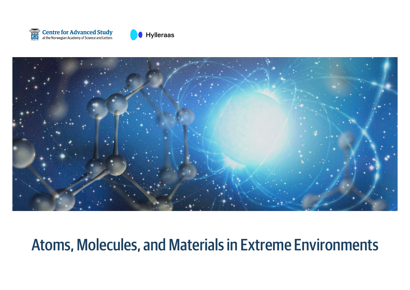





# Atoms, Molecules, and Materials in Extreme Environments